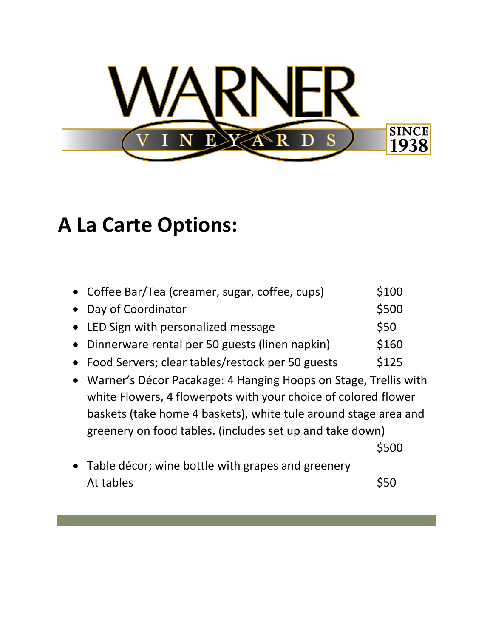

## **A La Carte Options:**

| • Coffee Bar/Tea (creamer, sugar, coffee, cups)    | \$100 |
|----------------------------------------------------|-------|
| • Day of Coordinator                               | \$500 |
| • LED Sign with personalized message               | \$50  |
| • Dinnerware rental per 50 guests (linen napkin)   | \$160 |
| • Food Servers; clear tables/restock per 50 guests | \$125 |

• Warner's Décor Pacakage: 4 Hanging Hoops on Stage, Trellis with white Flowers, 4 flowerpots with your choice of colored flower baskets (take home 4 baskets), white tule around stage area and greenery on food tables. (includes set up and take down)

\$500

• Table décor; wine bottle with grapes and greenery At tables \$50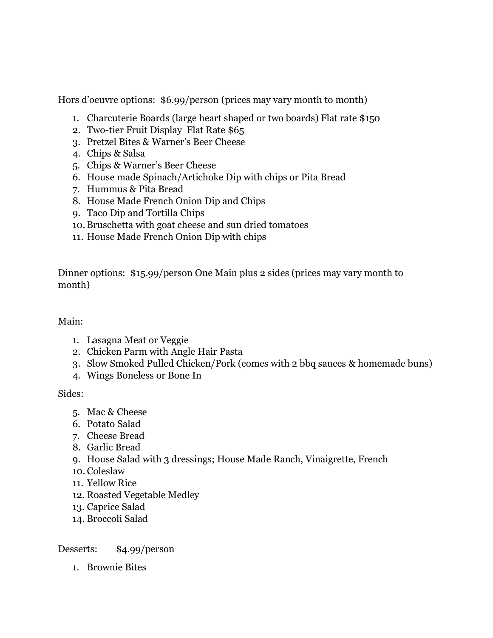Hors d'oeuvre options: \$6.99/person (prices may vary month to month)

- 1. Charcuterie Boards (large heart shaped or two boards) Flat rate \$150
- 2. Two-tier Fruit Display Flat Rate \$65
- 3. Pretzel Bites & Warner's Beer Cheese
- 4. Chips & Salsa
- 5. Chips & Warner's Beer Cheese
- 6. House made Spinach/Artichoke Dip with chips or Pita Bread
- 7. Hummus & Pita Bread
- 8. House Made French Onion Dip and Chips
- 9. Taco Dip and Tortilla Chips
- 10. Bruschetta with goat cheese and sun dried tomatoes
- 11. House Made French Onion Dip with chips

Dinner options: \$15.99/person One Main plus 2 sides (prices may vary month to month)

## Main:

- 1. Lasagna Meat or Veggie
- 2. Chicken Parm with Angle Hair Pasta
- 3. Slow Smoked Pulled Chicken/Pork (comes with 2 bbq sauces & homemade buns)
- 4. Wings Boneless or Bone In

## Sides:

- 5. Mac & Cheese
- 6. Potato Salad
- 7. Cheese Bread
- 8. Garlic Bread
- 9. House Salad with 3 dressings; House Made Ranch, Vinaigrette, French
- 10. Coleslaw
- 11. Yellow Rice
- 12. Roasted Vegetable Medley
- 13. Caprice Salad
- 14. Broccoli Salad

## Desserts: \$4.99/person

1. Brownie Bites